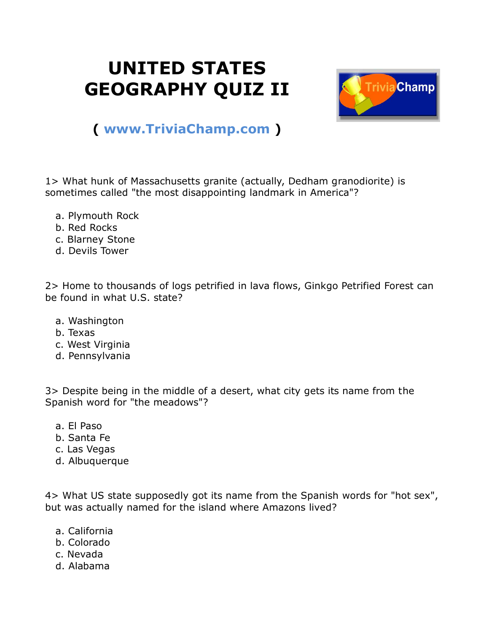## **UNITED STATES GEOGRAPHY QUIZ II**



## **( [www.TriviaChamp.com](http://www.triviachamp.com/) )**

1> What hunk of Massachusetts granite (actually, Dedham granodiorite) is sometimes called "the most disappointing landmark in America"?

- a. Plymouth Rock
- b. Red Rocks
- c. Blarney Stone
- d. Devils Tower

2> Home to thousands of logs petrified in lava flows, Ginkgo Petrified Forest can be found in what U.S. state?

- a. Washington
- b. Texas
- c. West Virginia
- d. Pennsylvania

3> Despite being in the middle of a desert, what city gets its name from the Spanish word for "the meadows"?

- a. El Paso
- b. Santa Fe
- c. Las Vegas
- d. Albuquerque

4> What US state supposedly got its name from the Spanish words for "hot sex", but was actually named for the island where Amazons lived?

- a. California
- b. Colorado
- c. Nevada
- d. Alabama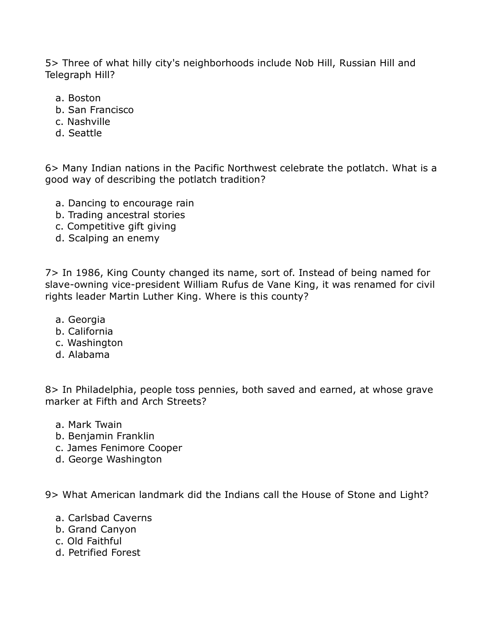5> Three of what hilly city's neighborhoods include Nob Hill, Russian Hill and Telegraph Hill?

- a. Boston
- b. San Francisco
- c. Nashville
- d. Seattle

6> Many Indian nations in the Pacific Northwest celebrate the potlatch. What is a good way of describing the potlatch tradition?

- a. Dancing to encourage rain
- b. Trading ancestral stories
- c. Competitive gift giving
- d. Scalping an enemy

7> In 1986, King County changed its name, sort of. Instead of being named for slave-owning vice-president William Rufus de Vane King, it was renamed for civil rights leader Martin Luther King. Where is this county?

- a. Georgia
- b. California
- c. Washington
- d. Alabama

8> In Philadelphia, people toss pennies, both saved and earned, at whose grave marker at Fifth and Arch Streets?

- a. Mark Twain
- b. Benjamin Franklin
- c. James Fenimore Cooper
- d. George Washington

9> What American landmark did the Indians call the House of Stone and Light?

- a. Carlsbad Caverns
- b. Grand Canyon
- c. Old Faithful
- d. Petrified Forest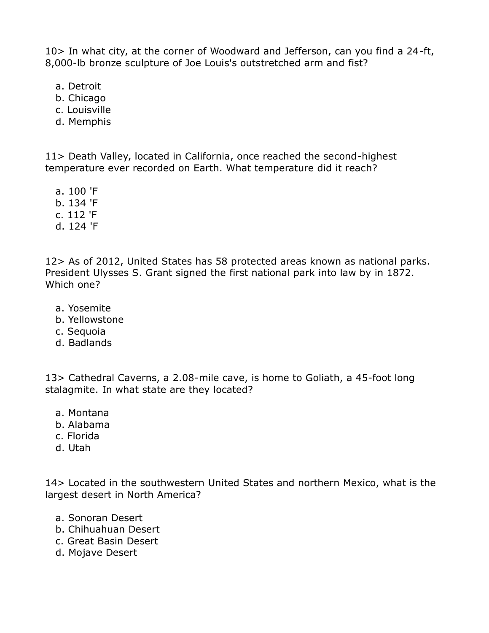10> In what city, at the corner of Woodward and Jefferson, can you find a 24-ft, 8,000-lb bronze sculpture of Joe Louis's outstretched arm and fist?

- a. Detroit
- b. Chicago
- c. Louisville
- d. Memphis

11> Death Valley, located in California, once reached the second-highest temperature ever recorded on Earth. What temperature did it reach?

- a. 100 'F
- b. 134 'F
- c. 112 'F
- d. 124 'F

12> As of 2012, United States has 58 protected areas known as national parks. President Ulysses S. Grant signed the first national park into law by in 1872. Which one?

- a. Yosemite
- b. Yellowstone
- c. Sequoia
- d. Badlands

13> Cathedral Caverns, a 2.08-mile cave, is home to Goliath, a 45-foot long stalagmite. In what state are they located?

- a. Montana
- b. Alabama
- c. Florida
- d. Utah

14> Located in the southwestern United States and northern Mexico, what is the largest desert in North America?

- a. Sonoran Desert
- b. Chihuahuan Desert
- c. Great Basin Desert
- d. Mojave Desert